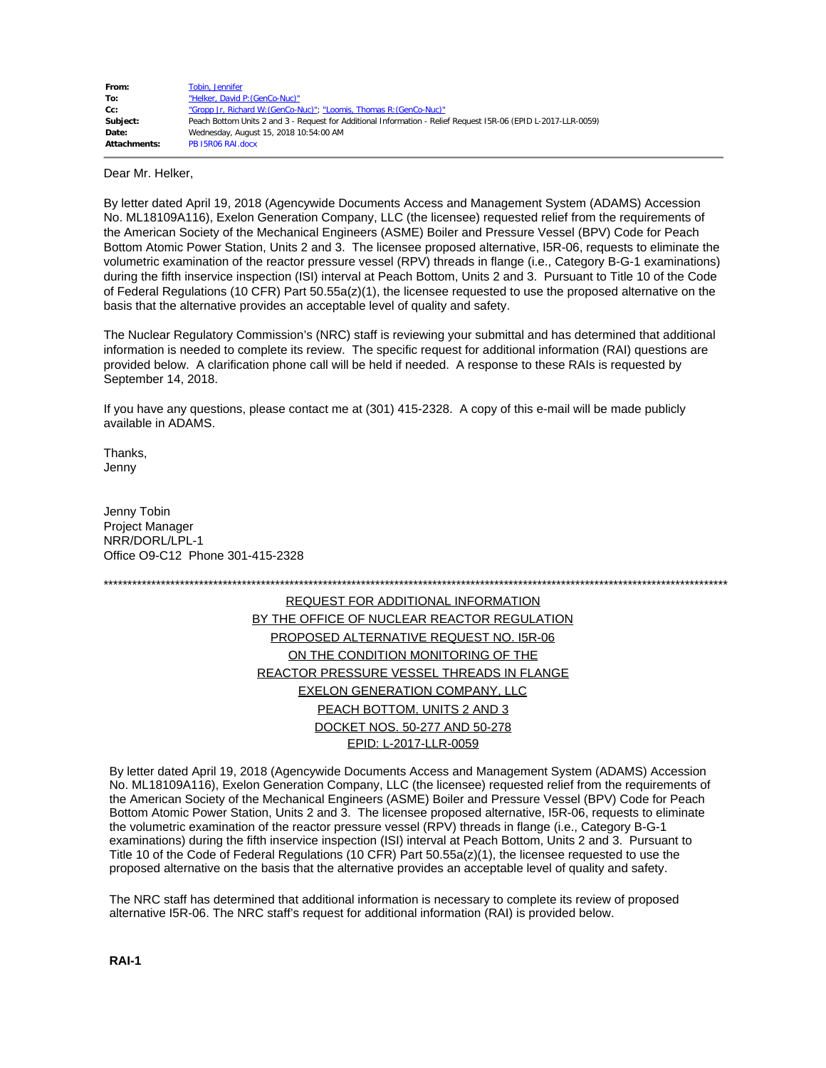| From:               | Tobin, Jennifer                                                                                                |
|---------------------|----------------------------------------------------------------------------------------------------------------|
| To:                 | "Helker, David P: (GenCo-Nuc)"                                                                                 |
| Cc:                 | "Gropp Jr, Richard W: (GenCo-Nuc)"; "Loomis, Thomas R: (GenCo-Nuc)"                                            |
| Subiect:            | Peach Bottom Units 2 and 3 - Request for Additional Information - Relief Request 15R-06 (EPID L-2017-LLR-0059) |
| Date:               | Wednesday, August 15, 2018 10:54:00 AM                                                                         |
| <b>Attachments:</b> | PB 15R06 RAI.docx                                                                                              |

Dear Mr. Helker,

By letter dated April 19, 2018 (Agencywide Documents Access and Management System (ADAMS) Accession No. ML18109A116), Exelon Generation Company, LLC (the licensee) requested relief from the requirements of the American Society of the Mechanical Engineers (ASME) Boiler and Pressure Vessel (BPV) Code for Peach Bottom Atomic Power Station, Units 2 and 3. The licensee proposed alternative, I5R-06, requests to eliminate the volumetric examination of the reactor pressure vessel (RPV) threads in flange (i.e., Category B-G-1 examinations) during the fifth inservice inspection (ISI) interval at Peach Bottom, Units 2 and 3. Pursuant to Title 10 of the Code of Federal Regulations (10 CFR) Part 50.55a(z)(1), the licensee requested to use the proposed alternative on the basis that the alternative provides an acceptable level of quality and safety.

The Nuclear Regulatory Commission's (NRC) staff is reviewing your submittal and has determined that additional information is needed to complete its review. The specific request for additional information (RAI) questions are provided below. A clarification phone call will be held if needed. A response to these RAIs is requested by September 14, 2018.

If you have any questions, please contact me at (301) 415-2328. A copy of this e-mail will be made publicly available in ADAMS.

Thanks, Jenny

Jenny Tobin Project Manager NRR/DORL/LPL-1 Office O9-C12 Phone 301-415-2328

\*\*\*\*\*\*\*\*\*\*\*\*\*\*\*\*\*\*\*\*\*\*\*\*\*\*\*\*\*\*\*\*\*\*\*\*\*\*\*\*\*\*\*\*\*\*\*\*\*\*\*\*\*\*\*\*\*\*\*\*\*\*\*\*\*\*\*\*\*\*\*\*\*\*\*\*\*\*\*\*\*\*\*\*\*\*\*\*\*\*\*\*\*\*\*\*\*\*\*\*\*\*\*\*\*\*\*\*\*\*\*\*\*\*\*\*\*\*\*\*\*\*\*\*\*\*\*\*\*\*\*

REQUEST FOR ADDITIONAL INFORMATION BY THE OFFICE OF NUCLEAR REACTOR REGULATION PROPOSED ALTERNATIVE REQUEST NO. I5R-06 ON THE CONDITION MONITORING OF THE REACTOR PRESSURE VESSEL THREADS IN FLANGE EXELON GENERATION COMPANY, LLC PEACH BOTTOM, UNITS 2 AND 3 DOCKET NOS. 50-277 AND 50-278 EPID: L-2017-LLR-0059

By letter dated April 19, 2018 (Agencywide Documents Access and Management System (ADAMS) Accession No. ML18109A116), Exelon Generation Company, LLC (the licensee) requested relief from the requirements of the American Society of the Mechanical Engineers (ASME) Boiler and Pressure Vessel (BPV) Code for Peach Bottom Atomic Power Station, Units 2 and 3. The licensee proposed alternative, I5R-06, requests to eliminate the volumetric examination of the reactor pressure vessel (RPV) threads in flange (i.e., Category B-G-1 examinations) during the fifth inservice inspection (ISI) interval at Peach Bottom, Units 2 and 3. Pursuant to Title 10 of the Code of Federal Regulations (10 CFR) Part 50.55a(z)(1), the licensee requested to use the proposed alternative on the basis that the alternative provides an acceptable level of quality and safety.

The NRC staff has determined that additional information is necessary to complete its review of proposed alternative I5R-06. The NRC staff's request for additional information (RAI) is provided below.